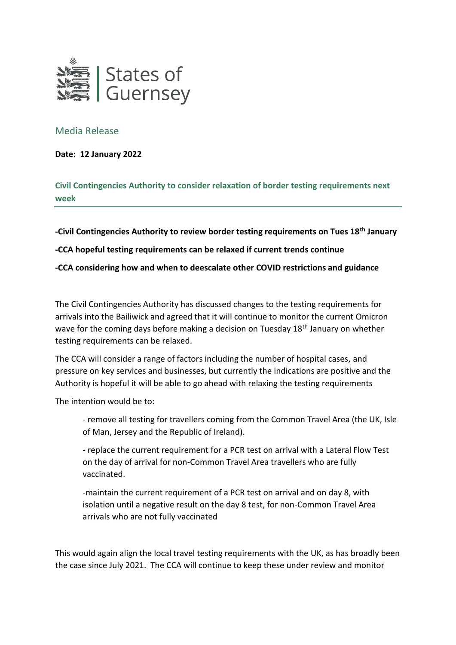

## Media Release

**Date: 12 January 2022**

**Civil Contingencies Authority to consider relaxation of border testing requirements next week**

**-Civil Contingencies Authority to review border testing requirements on Tues 18th January**

**-CCA hopeful testing requirements can be relaxed if current trends continue**

**-CCA considering how and when to deescalate other COVID restrictions and guidance**

The Civil Contingencies Authority has discussed changes to the testing requirements for arrivals into the Bailiwick and agreed that it will continue to monitor the current Omicron wave for the coming days before making a decision on Tuesday 18<sup>th</sup> January on whether testing requirements can be relaxed.

The CCA will consider a range of factors including the number of hospital cases, and pressure on key services and businesses, but currently the indications are positive and the Authority is hopeful it will be able to go ahead with relaxing the testing requirements

The intention would be to:

- remove all testing for travellers coming from the Common Travel Area (the UK, Isle of Man, Jersey and the Republic of Ireland).

- replace the current requirement for a PCR test on arrival with a Lateral Flow Test on the day of arrival for non-Common Travel Area travellers who are fully vaccinated.

-maintain the current requirement of a PCR test on arrival and on day 8, with isolation until a negative result on the day 8 test, for non-Common Travel Area arrivals who are not fully vaccinated

This would again align the local travel testing requirements with the UK, as has broadly been the case since July 2021. The CCA will continue to keep these under review and monitor